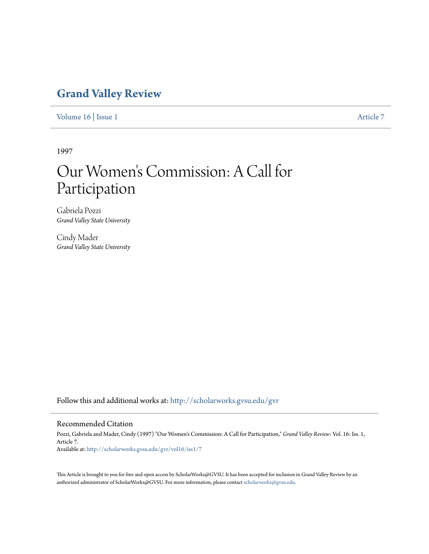## **[Grand Valley Review](http://scholarworks.gvsu.edu/gvr?utm_source=scholarworks.gvsu.edu%2Fgvr%2Fvol16%2Fiss1%2F7&utm_medium=PDF&utm_campaign=PDFCoverPages)**

[Volume 16](http://scholarworks.gvsu.edu/gvr/vol16?utm_source=scholarworks.gvsu.edu%2Fgvr%2Fvol16%2Fiss1%2F7&utm_medium=PDF&utm_campaign=PDFCoverPages) | [Issue 1](http://scholarworks.gvsu.edu/gvr/vol16/iss1?utm_source=scholarworks.gvsu.edu%2Fgvr%2Fvol16%2Fiss1%2F7&utm_medium=PDF&utm_campaign=PDFCoverPages) [Article 7](http://scholarworks.gvsu.edu/gvr/vol16/iss1/7?utm_source=scholarworks.gvsu.edu%2Fgvr%2Fvol16%2Fiss1%2F7&utm_medium=PDF&utm_campaign=PDFCoverPages)

1997

# Our Women 's Commission: A Call for Participation

Gabriela Pozzi *Grand Valley State University*

Cindy Mader *Grand Valley State University*

Follow this and additional works at: [http://scholarworks.gvsu.edu/gvr](http://scholarworks.gvsu.edu/gvr?utm_source=scholarworks.gvsu.edu%2Fgvr%2Fvol16%2Fiss1%2F7&utm_medium=PDF&utm_campaign=PDFCoverPages)

#### Recommended Citation

Pozzi, Gabriela and Mader, Cindy (1997) "Our Women's Commission: A Call for Participation," *Grand Valley Review*: Vol. 16: Iss. 1, Article 7. Available at: [http://scholarworks.gvsu.edu/gvr/vol16/iss1/7](http://scholarworks.gvsu.edu/gvr/vol16/iss1/7?utm_source=scholarworks.gvsu.edu%2Fgvr%2Fvol16%2Fiss1%2F7&utm_medium=PDF&utm_campaign=PDFCoverPages)

This Article is brought to you for free and open access by ScholarWorks@GVSU. It has been accepted for inclusion in Grand Valley Review by an authorized administrator of ScholarWorks@GVSU. For more information, please contact [scholarworks@gvsu.edu.](mailto:scholarworks@gvsu.edu)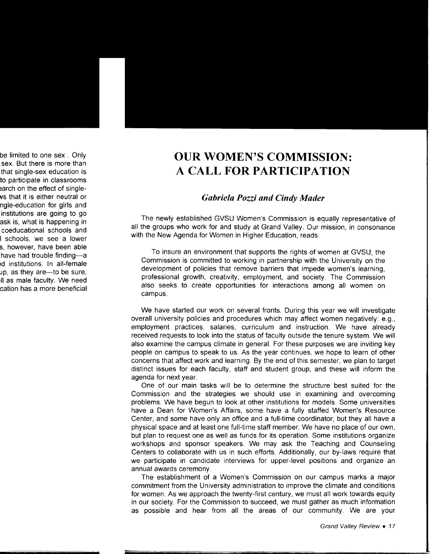## **OUR WOMEN'S COMMISSION: A CALL FOR PARTICIPATION**

### *Gabriela Pozzi and Cindy Mader*

The newly established GVSU Women's Commission is equally representative of all the groups who work for and study at Grand Valley. Our mission, in consonance with the New Agenda for Women in Higher Education, reads:

To insure an environment that supports the rights of women at GVSU, the Commission is committed to working in partnership with the University on the development of policies that remove barriers that impede women's learning, professional growth, creativity, employment, and society. The Commission also seeks to create opportunities for interactions among all women on campus.

We have started our work on several fronts. During this year we will investigate overall university policies and procedures which may affect women negatively: e.g., employment practices, salaries, curriculum and instruction. We have already received requests to look into the status of faculty outside the tenure system. We will also examine the campus climate in general. For these purposes we are inviting key people on campus to speak to us. As the year continues, we hope to learn of other concerns that affect work and learning. By the end of this semester, we plan to target distinct issues for each faculty, staff and student group, and these will inform the agenda for next year.

One of our main tasks will be to determine the structure best suited for the Commission and the strategies we should use in examining and overcoming problems. We have begun to look at other institutions for models. Some universities have a Dean for Women's Affairs, some have a fully staffed Women's Resource Center, and some have only an office and a full-time coordinator; but they all have a physical space and at least one full-time staff member. We have no place of our own, but plan to request one as well as funds for its operation. Some institutions organize workshops and sponsor speakers. We may ask the Teaching and Counseling Centers to collaborate with us in such efforts. Additionally, our by-laws require that we participate in candidate interviews for upper-level positions and organize an annual awards ceremony.

The establishment of a Women's Commission on our campus marks a major commitment from the University administration to improve the climate and conditions for women. As we approach the twenty-first century, we must all work towards equity in our society. For the Commission to succeed, we must gather as much information as possible and hear from all the areas of our community. We are your